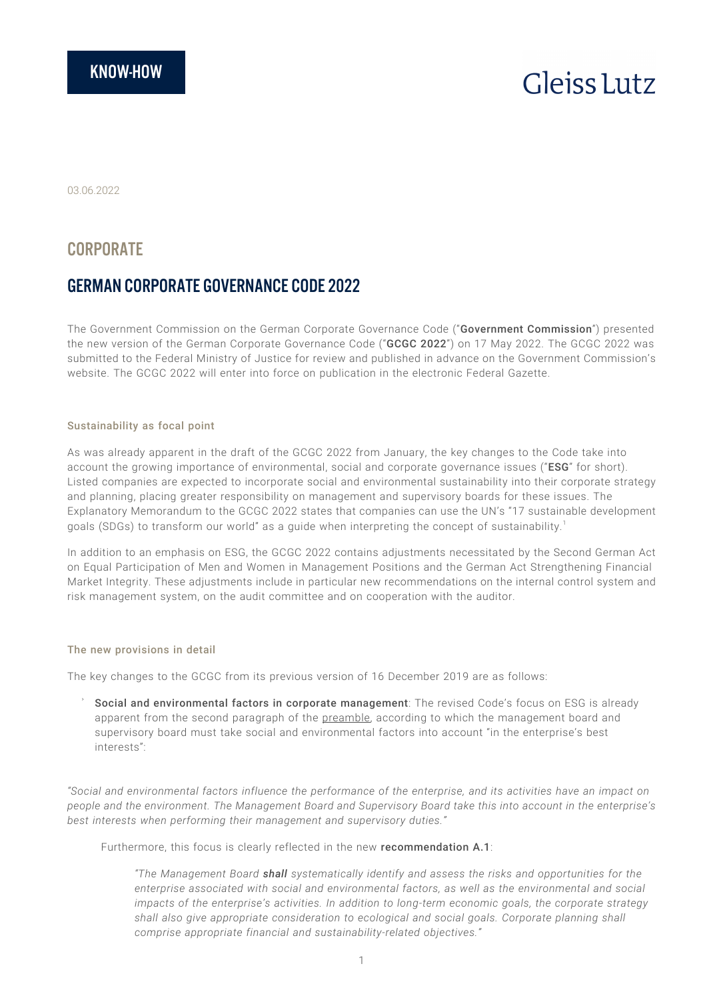# **Gleiss** Lutz

03.06.2022

# **CORPORATE**

# GERMAN CORPORATE GOVERNANCE CODE 2022

The Government Commission on the German Corporate Governance Code ("Government Commission") presented the new version of the German Corporate Governance Code ("GCGC 2022") on 17 May 2022. The GCGC 2022 was submitted to the Federal Ministry of Justice for review and published in advance on the Government Commission's website. The GCGC 2022 will enter into force on publication in the electronic Federal Gazette.

### Sustainability as focal point

As was already apparent in the draft of the GCGC 2022 from January, the key changes to the Code take into account the growing importance of environmental, social and corporate governance issues ("ESG" for short). Listed companies are expected to incorporate social and environmental sustainability into their corporate strategy and planning, placing greater responsibility on management and supervisory boards for these issues. The Explanatory Memorandum to the GCGC 2022 states that companies can use the UN's "17 sustainable development goals (SDGs) to transform our world" as a guide when interpreting the concept of sustainability.<sup>1</sup>

In addition to an emphasis on ESG, the GCGC 2022 contains adjustments necessitated by the Second German Act on Equal Participation of Men and Women in Management Positions and the German Act Strengthening Financial Market Integrity. These adjustments include in particular new recommendations on the internal control system and risk management system, on the audit committee and on cooperation with the auditor.

#### The new provisions in detail

The key changes to the GCGC from its previous version of 16 December 2019 are as follows:

Social and environmental factors in corporate management: The revised Code's focus on ESG is already apparent from the second paragraph of the preamble, according to which the management board and supervisory board must take social and environmental factors into account "in the enterprise's best interests":

*"Social and environmental factors influence the performance of the enterprise, and its activities have an impact on people and the environment. The Management Board and Supervisory Board take this into account in the enterprise's best interests when performing their management and supervisory duties."*

Furthermore, this focus is clearly reflected in the new **recommendation A.1**:

*"The Management Board shall systematically identify and assess the risks and opportunities for the enterprise associated with social and environmental factors, as well as the environmental and social impacts of the enterprise's activities. In addition to long-term economic goals, the corporate strategy shall also give appropriate consideration to ecological and social goals. Corporate planning shall comprise appropriate financial and sustainability-related objectives."*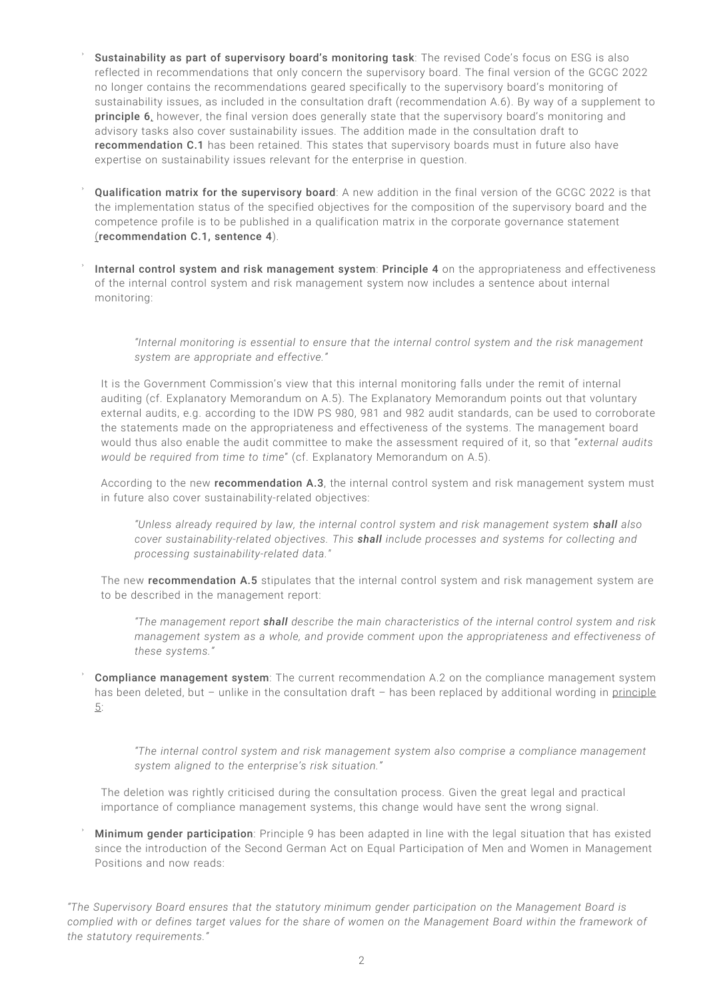- Sustainability as part of supervisory board's monitoring task: The revised Code's focus on ESG is also reflected in recommendations that only concern the supervisory board. The final version of the GCGC 2022 no longer contains the recommendations geared specifically to the supervisory board's monitoring of sustainability issues, as included in the consultation draft (recommendation A.6). By way of a supplement to principle 6, however, the final version does generally state that the supervisory board's monitoring and advisory tasks also cover sustainability issues. The addition made in the consultation draft to recommendation C.1 has been retained. This states that supervisory boards must in future also have expertise on sustainability issues relevant for the enterprise in question.
- Qualification matrix for the supervisory board: A new addition in the final version of the GCGC 2022 is that the implementation status of the specified objectives for the composition of the supervisory board and the competence profile is to be published in a qualification matrix in the corporate governance statement (recommendation C.1, sentence 4).
- Internal control system and risk management system: Principle 4 on the appropriateness and effectiveness of the internal control system and risk management system now includes a sentence about internal monitoring:

*"Internal monitoring is essential to ensure that the internal control system and the risk management system are appropriate and effective."*

It is the Government Commission's view that this internal monitoring falls under the remit of internal auditing (cf. Explanatory Memorandum on A.5). The Explanatory Memorandum points out that voluntary external audits, e.g. according to the IDW PS 980, 981 and 982 audit standards, can be used to corroborate the statements made on the appropriateness and effectiveness of the systems. The management board would thus also enable the audit committee to make the assessment required of it, so that "*external audits would be required from time to time*" (cf. Explanatory Memorandum on A.5).

According to the new recommendation A.3, the internal control system and risk management system must in future also cover sustainability-related objectives:

*"Unless already required by law, the internal control system and risk management system shall also cover sustainability-related objectives. This shall include processes and systems for collecting and processing sustainability-related data."*

The new recommendation A.5 stipulates that the internal control system and risk management system are to be described in the management report:

*"The management report shall describe the main characteristics of the internal control system and risk management system as a whole, and provide comment upon the appropriateness and effectiveness of these systems."*

Compliance management system: The current recommendation A.2 on the compliance management system has been deleted, but - unlike in the consultation draft - has been replaced by additional wording in principle 5:

*"The internal control system and risk management system also comprise a compliance management system aligned to the enterprise's risk situation."*

The deletion was rightly criticised during the consultation process. Given the great legal and practical importance of compliance management systems, this change would have sent the wrong signal.

Minimum gender participation: Principle 9 has been adapted in line with the legal situation that has existed since the introduction of the Second German Act on Equal Participation of Men and Women in Management Positions and now reads:

*"The Supervisory Board ensures that the statutory minimum gender participation on the Management Board is complied with or defines target values for the share of women on the Management Board within the framework of the statutory requirements."*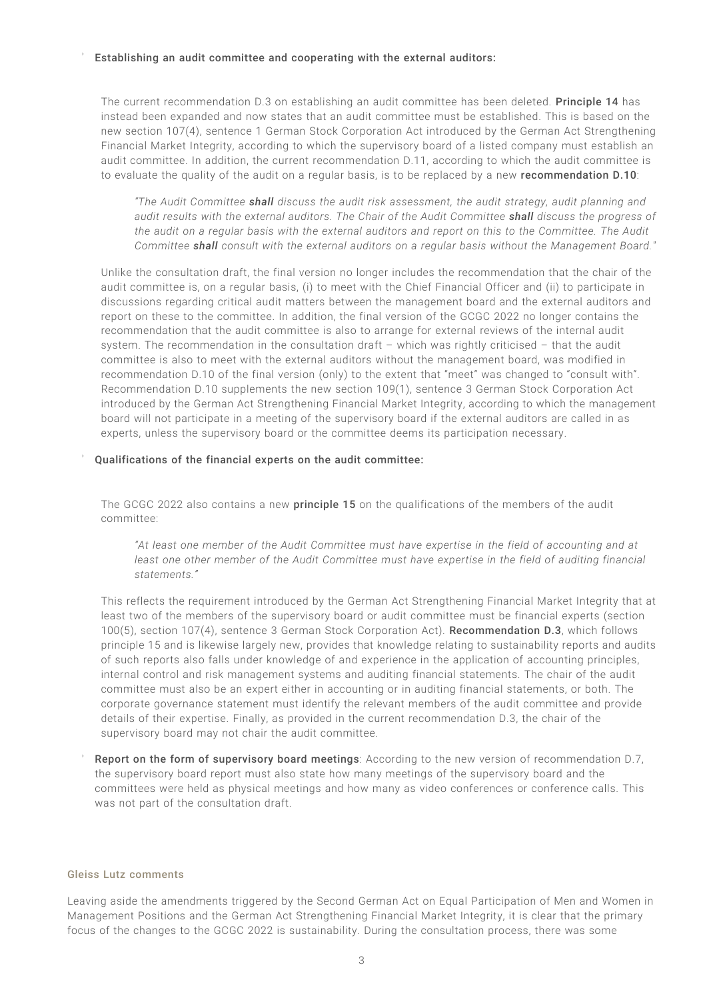#### Establishing an audit committee and cooperating with the external auditors:

The current recommendation D.3 on establishing an audit committee has been deleted. Principle 14 has instead been expanded and now states that an audit committee must be established. This is based on the new section 107(4), sentence 1 German Stock Corporation Act introduced by the German Act Strengthening Financial Market Integrity, according to which the supervisory board of a listed company must establish an audit committee. In addition, the current recommendation D.11, according to which the audit committee is to evaluate the quality of the audit on a regular basis, is to be replaced by a new recommendation D.10:

*"The Audit Committee shall discuss the audit risk assessment, the audit strategy, audit planning and audit results with the external auditors. The Chair of the Audit Committee shall discuss the progress of the audit on a regular basis with the external auditors and report on this to the Committee. The Audit Committee shall consult with the external auditors on a regular basis without the Management Board."*

Unlike the consultation draft, the final version no longer includes the recommendation that the chair of the audit committee is, on a regular basis, (i) to meet with the Chief Financial Officer and (ii) to participate in discussions regarding critical audit matters between the management board and the external auditors and report on these to the committee. In addition, the final version of the GCGC 2022 no longer contains the recommendation that the audit committee is also to arrange for external reviews of the internal audit system. The recommendation in the consultation draft – which was rightly criticised – that the audit committee is also to meet with the external auditors without the management board, was modified in recommendation D.10 of the final version (only) to the extent that "meet" was changed to "consult with". Recommendation D.10 supplements the new section 109(1), sentence 3 German Stock Corporation Act introduced by the German Act Strengthening Financial Market Integrity, according to which the management board will not participate in a meeting of the supervisory board if the external auditors are called in as experts, unless the supervisory board or the committee deems its participation necessary.

#### Qualifications of the financial experts on the audit committee:

The GCGC 2022 also contains a new principle 15 on the qualifications of the members of the audit committee:

*"At least one member of the Audit Committee must have expertise in the field of accounting and at least one other member of the Audit Committee must have expertise in the field of auditing financial statements."*

This reflects the requirement introduced by the German Act Strengthening Financial Market Integrity that at least two of the members of the supervisory board or audit committee must be financial experts (section 100(5), section 107(4), sentence 3 German Stock Corporation Act). Recommendation D.3, which follows principle 15 and is likewise largely new, provides that knowledge relating to sustainability reports and audits of such reports also falls under knowledge of and experience in the application of accounting principles, internal control and risk management systems and auditing financial statements. The chair of the audit committee must also be an expert either in accounting or in auditing financial statements, or both. The corporate governance statement must identify the relevant members of the audit committee and provide details of their expertise. Finally, as provided in the current recommendation D.3, the chair of the supervisory board may not chair the audit committee.

Report on the form of supervisory board meetings: According to the new version of recommendation D.7, the supervisory board report must also state how many meetings of the supervisory board and the committees were held as physical meetings and how many as video conferences or conference calls. This was not part of the consultation draft.

#### Gleiss Lutz comments

Leaving aside the amendments triggered by the Second German Act on Equal Participation of Men and Women in Management Positions and the German Act Strengthening Financial Market Integrity, it is clear that the primary focus of the changes to the GCGC 2022 is sustainability. During the consultation process, there was some